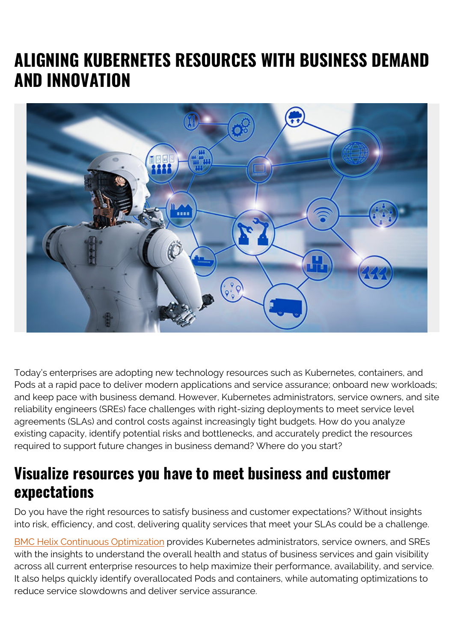## **ALIGNING KUBERNETES RESOURCES WITH BUSINESS DEMAND AND INNOVATION**



Today's enterprises are adopting new technology resources such as Kubernetes, containers, and Pods at a rapid pace to deliver modern applications and service assurance; onboard new workloads; and keep pace with business demand. However, Kubernetes administrators, service owners, and site reliability engineers (SREs) face challenges with right-sizing deployments to meet service level agreements (SLAs) and control costs against increasingly tight budgets. How do you analyze existing capacity, identify potential risks and bottlenecks, and accurately predict the resources required to support future changes in business demand? Where do you start?

## **Visualize resources you have to meet business and customer expectations**

Do you have the right resources to satisfy business and customer expectations? Without insights into risk, efficiency, and cost, delivering quality services that meet your SLAs could be a challenge.

[BMC Helix Continuous Optimization](https://www.bmc.com/it-solutions/bmc-helix-continuous-optimization.html) provides Kubernetes administrators, service owners, and SREs with the insights to understand the overall health and status of business services and gain visibility across all current enterprise resources to help maximize their performance, availability, and service. It also helps quickly identify overallocated Pods and containers, while automating optimizations to reduce service slowdowns and deliver service assurance.